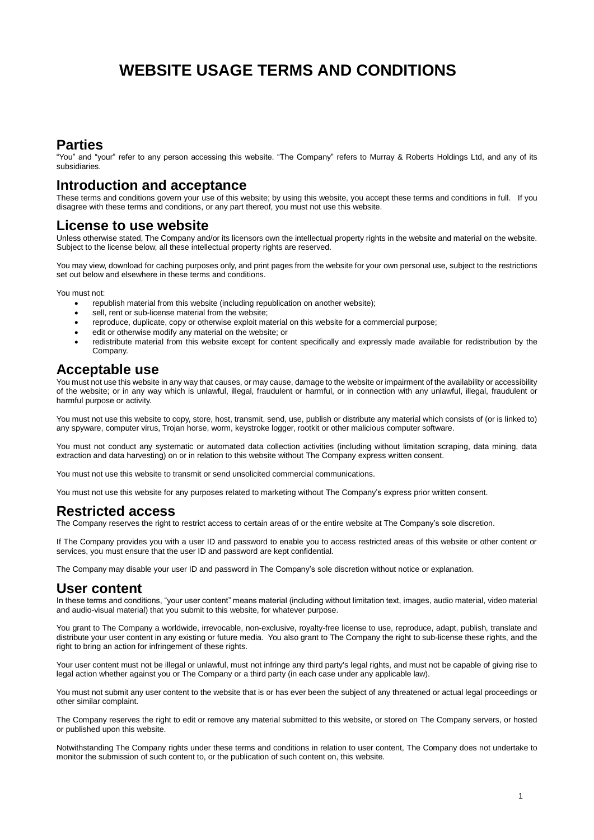# **WEBSITE USAGE TERMS AND CONDITIONS**

# **Parties**

"You" and "your" refer to any person accessing this website. "The Company" refers to Murray & Roberts Holdings Ltd, and any of its subsidiaries.

# **Introduction and acceptance**

These terms and conditions govern your use of this website; by using this website, you accept these terms and conditions in full. If you disagree with these terms and conditions, or any part thereof, you must not use this website.

#### **License to use website**

Unless otherwise stated, The Company and/or its licensors own the intellectual property rights in the website and material on the website. Subject to the license below, all these intellectual property rights are reserved.

You may view, download for caching purposes only, and print pages from the website for your own personal use, subject to the restrictions set out below and elsewhere in these terms and conditions.

You must not:

- republish material from this website (including republication on another website);
- sell, rent or sub-license material from the website;
- reproduce, duplicate, copy or otherwise exploit material on this website for a commercial purpose;
- edit or otherwise modify any material on the website; or
- redistribute material from this website except for content specifically and expressly made available for redistribution by the Company.

#### **Acceptable use**

You must not use this website in any way that causes, or may cause, damage to the website or impairment of the availability or accessibility of the website; or in any way which is unlawful, illegal, fraudulent or harmful, or in connection with any unlawful, illegal, fraudulent or harmful purpose or activity.

You must not use this website to copy, store, host, transmit, send, use, publish or distribute any material which consists of (or is linked to) any spyware, computer virus, Trojan horse, worm, keystroke logger, rootkit or other malicious computer software.

You must not conduct any systematic or automated data collection activities (including without limitation scraping, data mining, data extraction and data harvesting) on or in relation to this website without The Company express written consent.

You must not use this website to transmit or send unsolicited commercial communications.

You must not use this website for any purposes related to marketing without The Company's express prior written consent.

### **Restricted access**

The Company reserves the right to restrict access to certain areas of or the entire website at The Company's sole discretion.

If The Company provides you with a user ID and password to enable you to access restricted areas of this website or other content or services, you must ensure that the user ID and password are kept confidential.

The Company may disable your user ID and password in The Company's sole discretion without notice or explanation.

### **User content**

In these terms and conditions, "your user content" means material (including without limitation text, images, audio material, video material and audio-visual material) that you submit to this website, for whatever purpose.

You grant to The Company a worldwide, irrevocable, non-exclusive, royalty-free license to use, reproduce, adapt, publish, translate and distribute your user content in any existing or future media. You also grant to The Company the right to sub-license these rights, and the right to bring an action for infringement of these rights.

Your user content must not be illegal or unlawful, must not infringe any third party's legal rights, and must not be capable of giving rise to legal action whether against you or The Company or a third party (in each case under any applicable law).

You must not submit any user content to the website that is or has ever been the subject of any threatened or actual legal proceedings or other similar complaint.

The Company reserves the right to edit or remove any material submitted to this website, or stored on The Company servers, or hosted or published upon this website.

Notwithstanding The Company rights under these terms and conditions in relation to user content, The Company does not undertake to monitor the submission of such content to, or the publication of such content on, this website.